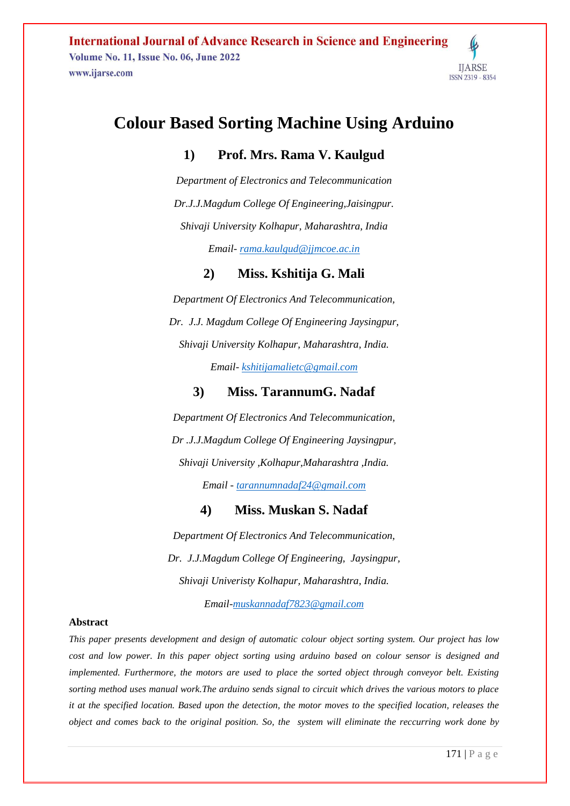**International Journal of Advance Research in Science and Engineering Volume No. 11, Issue No. 06, June 2022** www.ijarse.com



# **Colour Based Sorting Machine Using Arduino**

## **1) Prof. Mrs. Rama V. Kaulgud**

*Department of Electronics and Telecommunication Dr.J.J.Magdum College Of Engineering,Jaisingpur. Shivaji University Kolhapur, Maharashtra, India*

*Email- [rama.kaulgud@jjmcoe.ac.in](mailto:rama.kaulgud@jjmcoe.ac.in)*

## **2) Miss. Kshitija G. Mali**

*Department Of Electronics And Telecommunication, Dr. J.J. Magdum College Of Engineering Jaysingpur, Shivaji University Kolhapur, Maharashtra, India. Email- [kshitijamalietc@gmail.com](mailto:kshitijamalietc@gmail.com)*

## **3) Miss. TarannumG. Nadaf**

*Department Of Electronics And Telecommunication, Dr .J.J.Magdum College Of Engineering Jaysingpur, Shivaji University ,Kolhapur,Maharashtra ,India. Email - [tarannumnadaf24@gmail.com](mailto:tarannumnadaf24@gmail.com)*

**4) Miss. Muskan S. Nadaf**

*Department Of Electronics And Telecommunication, Dr. J.J.Magdum College Of Engineering, Jaysingpur, Shivaji Univeristy Kolhapur, Maharashtra, India.*

*Email[-muskannadaf7823@gmail.com](mailto:muskannadaf@7823@gmail.com)*

#### **Abstract**

*This paper presents development and design of automatic colour object sorting system. Our project has low cost and low power. In this paper object sorting using arduino based on colour sensor is designed and implemented. Furthermore, the motors are used to place the sorted object through conveyor belt. Existing sorting method uses manual work.The arduino sends signal to circuit which drives the various motors to place it at the specified location. Based upon the detection, the motor moves to the specified location, releases the object and comes back to the original position. So, the system will eliminate the reccurring work done by*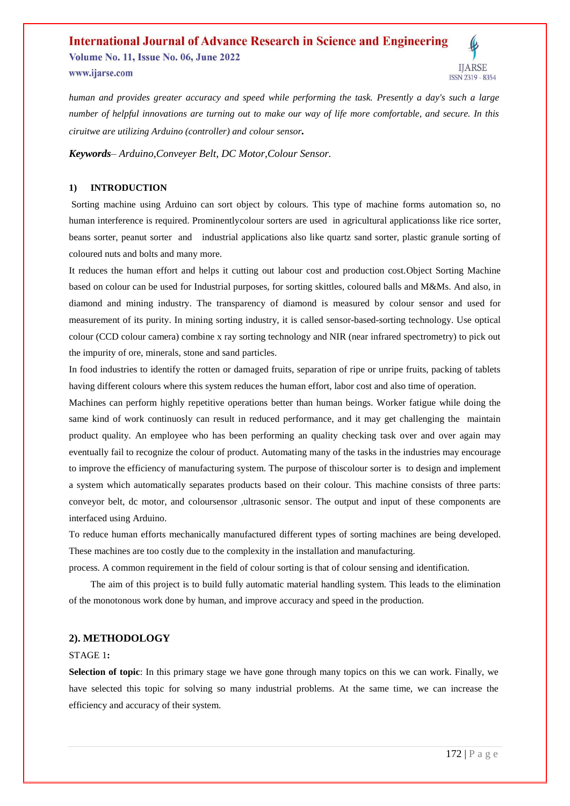#### **International Journal of Advance Research in Science and Engineering Volume No. 11, Issue No. 06, June 2022 IIARSE** www.ijarse.com ISSN 2319 - 8354

*human and provides greater accuracy and speed while performing the task. Presently a day's such a large number of helpful innovations are turning out to make our way of life more comfortable, and secure. In this ciruitwe are utilizing Arduino (controller) and colour sensor.*

*Keywords– Arduino,Conveyer Belt, DC Motor,Colour Sensor.*

### **1) INTRODUCTION**

Sorting machine using Arduino can sort object by colours. This type of machine forms automation so, no human interference is required. Prominentlycolour sorters are used in agricultural applicationss like rice sorter, beans sorter, peanut sorter and industrial applications also like quartz sand sorter, plastic granule sorting of coloured nuts and bolts and many more.

It reduces the human effort and helps it cutting out labour cost and production cost.Object Sorting Machine based on colour can be used for Industrial purposes, for sorting skittles, coloured balls and M&Ms. And also, in diamond and mining industry. The transparency of diamond is measured by colour sensor and used for measurement of its purity. In mining sorting industry, it is called sensor-based-sorting technology. Use optical colour (CCD colour camera) combine x ray sorting technology and NIR (near infrared spectrometry) to pick out the impurity of ore, minerals, stone and sand particles.

In food industries to identify the rotten or damaged fruits, separation of ripe or unripe fruits, packing of tablets having different colours where this system reduces the human effort, labor cost and also time of operation.

Machines can perform highly repetitive operations better than human beings. Worker fatigue while doing the same kind of work continuosly can result in reduced performance, and it may get challenging the maintain product quality. An employee who has been performing an quality checking task over and over again may eventually fail to recognize the colour of product. Automating many of the tasks in the industries may encourage to improve the efficiency of manufacturing system. The purpose of thiscolour sorter is to design and implement a system which automatically separates products based on their colour. This machine consists of three parts: conveyor belt, dc motor, and coloursensor ,ultrasonic sensor. The output and input of these components are interfaced using Arduino.

To reduce human efforts mechanically manufactured different types of sorting machines are being developed. These machines are too costly due to the complexity in the installation and manufacturing.

process. A common requirement in the field of colour sorting is that of colour sensing and identification.

 The aim of this project is to build fully automatic material handling system. This leads to the elimination of the monotonous work done by human, and improve accuracy and speed in the production.

### **2). METHODOLOGY**

### STAGE 1**:**

**Selection of topic**: In this primary stage we have gone through many topics on this we can work. Finally, we have selected this topic for solving so many industrial problems. At the same time, we can increase the efficiency and accuracy of their system.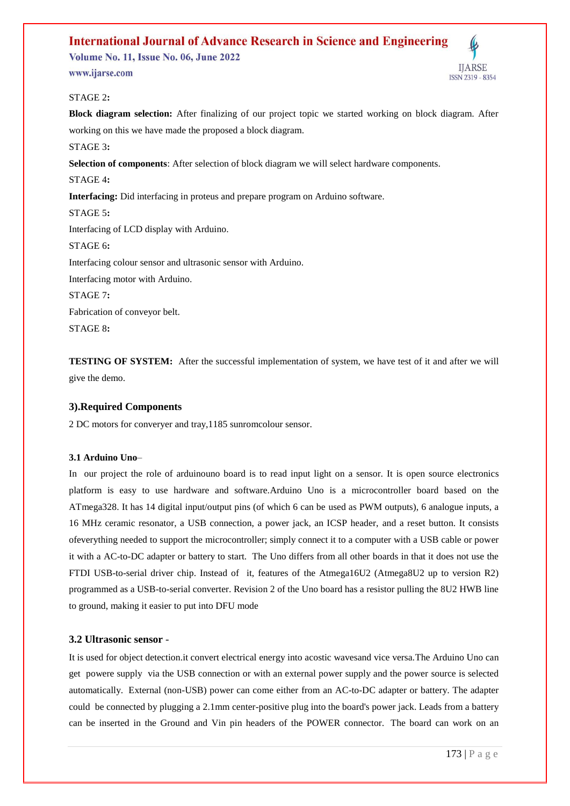**Volume No. 11, Issue No. 06, June 2022** 

www.ijarse.com

**IIARSE ISSN 2319 - 8354** 

### STAGE 2**:**

**Block diagram selection:** After finalizing of our project topic we started working on block diagram. After working on this we have made the proposed a block diagram. STAGE 3**: Selection of components**: After selection of block diagram we will select hardware components. STAGE 4**: Interfacing:** Did interfacing in proteus and prepare program on Arduino software. STAGE 5**:** Interfacing of LCD display with Arduino. STAGE 6**:** Interfacing colour sensor and ultrasonic sensor with Arduino. Interfacing motor with Arduino. STAGE 7**:** Fabrication of conveyor belt. STAGE 8**:**

**TESTING OF SYSTEM:** After the successful implementation of system, we have test of it and after we will give the demo.

## **3).Required Components**

2 DC motors for converyer and tray,1185 sunromcolour sensor.

#### **3.1 Arduino Uno**–

In our project the role of arduinouno board is to read input light on a sensor. It is open source electronics platform is easy to use hardware and software.Arduino Uno is a microcontroller board based on the ATmega328. It has 14 digital input/output pins (of which 6 can be used as PWM outputs), 6 analogue inputs, a 16 MHz ceramic resonator, a USB connection, a power jack, an ICSP header, and a reset button. It consists ofeverything needed to support the microcontroller; simply connect it to a computer with a USB cable or power it with a AC-to-DC adapter or battery to start. The Uno differs from all other boards in that it does not use the FTDI USB-to-serial driver chip. Instead of it, features of the Atmega16U2 (Atmega8U2 up to version R2) programmed as a USB-to-serial converter. Revision 2 of the Uno board has a resistor pulling the 8U2 HWB line to ground, making it easier to put into DFU mode

## **3.2 Ultrasonic sensor** -

It is used for object detection.it convert electrical energy into acostic wavesand vice versa.The Arduino Uno can get powere supply via the USB connection or with an external power supply and the power source is selected automatically. External (non-USB) power can come either from an AC-to-DC adapter or battery. The adapter could be connected by plugging a 2.1mm center-positive plug into the board's power jack. Leads from a battery can be inserted in the Ground and Vin pin headers of the POWER connector. The board can work on an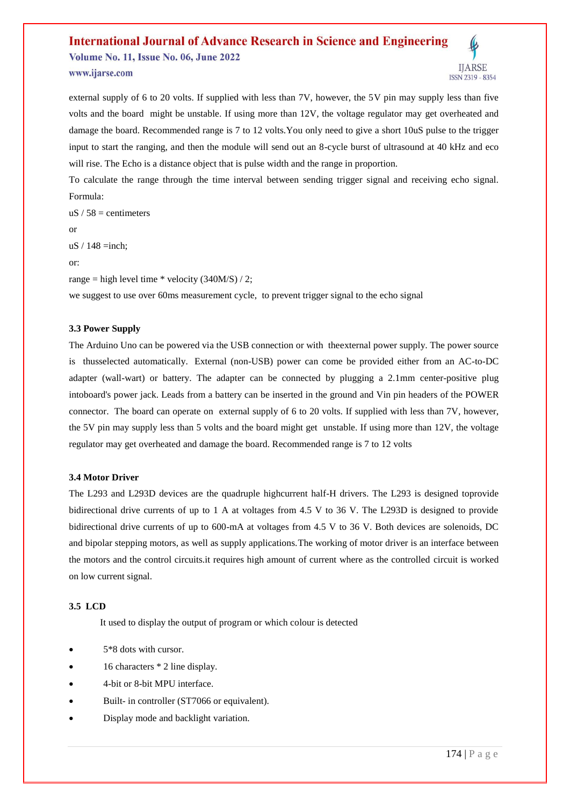**Volume No. 11, Issue No. 06, June 2022** www.ijarse.com



external supply of 6 to 20 volts. If supplied with less than 7V, however, the 5V pin may supply less than five volts and the board might be unstable. If using more than 12V, the voltage regulator may get overheated and damage the board. Recommended range is 7 to 12 volts.You only need to give a short 10uS pulse to the trigger input to start the ranging, and then the module will send out an 8-cycle burst of ultrasound at 40 kHz and eco will rise. The Echo is a distance object that is pulse width and the range in proportion.

To calculate the range through the time interval between sending trigger signal and receiving echo signal. Formula:

 $uS / 58$  = centimeters  $uS / 148 = inch;$ range = high level time  $*$  velocity (340M/S) / 2; we suggest to use over 60ms measurement cycle, to prevent trigger signal to the echo signal

### **3.3 Power Supply**

or

or:

The Arduino Uno can be powered via the USB connection or with theexternal power supply. The power source is thusselected automatically. External (non-USB) power can come be provided either from an AC-to-DC adapter (wall-wart) or battery. The adapter can be connected by plugging a 2.1mm center-positive plug intoboard's power jack. Leads from a battery can be inserted in the ground and Vin pin headers of the POWER connector. The board can operate on external supply of 6 to 20 volts. If supplied with less than 7V, however, the 5V pin may supply less than 5 volts and the board might get unstable. If using more than 12V, the voltage regulator may get overheated and damage the board. Recommended range is 7 to 12 volts

#### **3.4 Motor Driver**

The L293 and L293D devices are the quadruple highcurrent half-H drivers. The L293 is designed toprovide bidirectional drive currents of up to 1 A at voltages from 4.5 V to 36 V. The L293D is designed to provide bidirectional drive currents of up to 600-mA at voltages from 4.5 V to 36 V. Both devices are solenoids, DC and bipolar stepping motors, as well as supply applications.The working of motor driver is an interface between the motors and the control circuits.it requires high amount of current where as the controlled circuit is worked on low current signal.

## **3.5 LCD**

It used to display the output of program or which colour is detected

- 5\*8 dots with cursor.
- 16 characters \* 2 line display.
- 4-bit or 8-bit MPU interface.
- Built- in controller (ST7066 or equivalent).
- Display mode and backlight variation.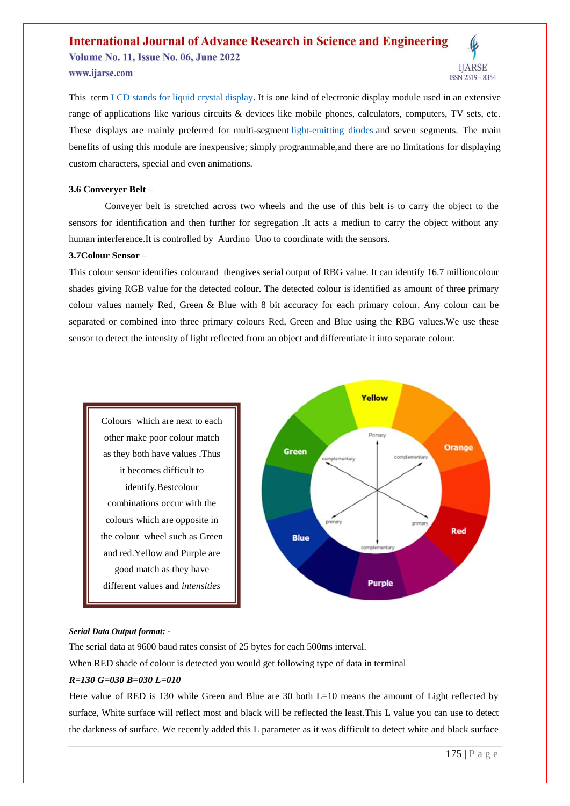**Volume No. 11, Issue No. 06, June 2022** 

www.ijarse.com

**IIARSE** ISSN 2319 - 8354

This term [LCD stands for liquid crystal display.](https://www.elprocus.com/difference-alphanumeric-display-and-customized-lcd/) It is one kind of electronic display module used in an extensive range of applications like various circuits & devices like mobile phones, calculators, computers, TV sets, etc. These displays are mainly preferred for multi-segment [light-emitting diodes](https://www.elprocus.com/light-emitting-diode-led-working-application/) and seven segments. The main benefits of using this module are inexpensive; simply programmable,and there are no limitations for displaying custom characters, special and even animations.

#### **3.6 Converyer Belt** –

 Conveyer belt is stretched across two wheels and the use of this belt is to carry the object to the sensors for identification and then further for segregation .It acts a mediun to carry the object without any human interference.It is controlled by Aurdino Uno to coordinate with the sensors.

### **3.7Colour Sensor** –

This colour sensor identifies colourand thengives serial output of RBG value. It can identify 16.7 millioncolour shades giving RGB value for the detected colour. The detected colour is identified as amount of three primary colour values namely Red, Green & Blue with 8 bit accuracy for each primary colour. Any colour can be separated or combined into three primary colours Red, Green and Blue using the RBG values.We use these sensor to detect the intensity of light reflected from an object and differentiate it into separate colour.





#### *Serial Data Output format: -*

The serial data at 9600 baud rates consist of 25 bytes for each 500ms interval.

When RED shade of colour is detected you would get following type of data in terminal

#### *R=130 G=030 B=030 L=010*

Here value of RED is 130 while Green and Blue are 30 both L=10 means the amount of Light reflected by surface, White surface will reflect most and black will be reflected the least.This L value you can use to detect the darkness of surface. We recently added this L parameter as it was difficult to detect white and black surface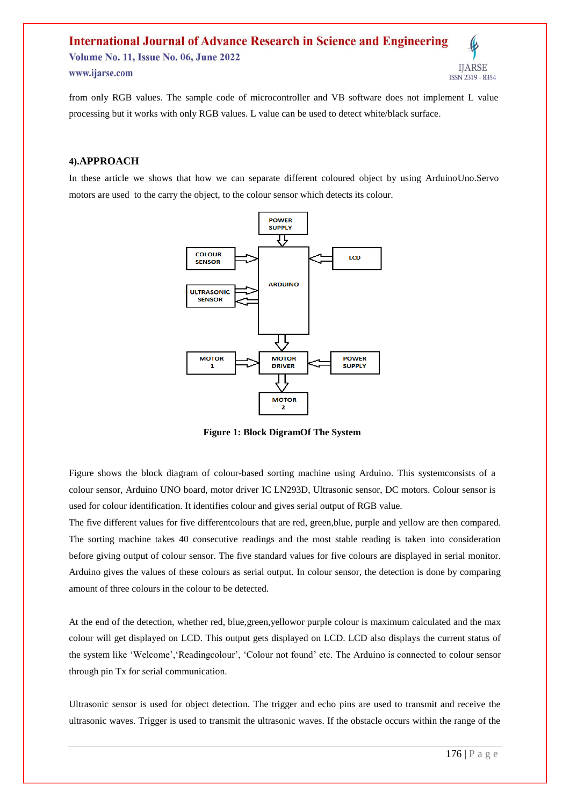#### **International Journal of Advance Research in Science and Engineering Volume No. 11, Issue No. 06, June 2022 IIARSE** www.ijarse.com ISSN 2319 - 8354

from only RGB values. The sample code of microcontroller and VB software does not implement L value processing but it works with only RGB values. L value can be used to detect white/black surface.

#### **4).APPROACH**

In these article we shows that how we can separate different coloured object by using ArduinoUno.Servo motors are used to the carry the object, to the colour sensor which detects its colour.



**Figure 1: Block DigramOf The System**

Figure shows the block diagram of colour-based sorting machine using Arduino. This systemconsists of a colour sensor, Arduino UNO board, motor driver IC LN293D, Ultrasonic sensor, DC motors. Colour sensor is used for colour identification. It identifies colour and gives serial output of RGB value.

The five different values for five differentcolours that are red, green,blue, purple and yellow are then compared. The sorting machine takes 40 consecutive readings and the most stable reading is taken into consideration before giving output of colour sensor. The five standard values for five colours are displayed in serial monitor. Arduino gives the values of these colours as serial output. In colour sensor, the detection is done by comparing amount of three colours in the colour to be detected.

At the end of the detection, whether red, blue,green,yellowor purple colour is maximum calculated and the max colour will get displayed on LCD. This output gets displayed on LCD. LCD also displays the current status of the system like 'Welcome','Readingcolour', 'Colour not found' etc. The Arduino is connected to colour sensor through pin Tx for serial communication.

Ultrasonic sensor is used for object detection. The trigger and echo pins are used to transmit and receive the ultrasonic waves. Trigger is used to transmit the ultrasonic waves. If the obstacle occurs within the range of the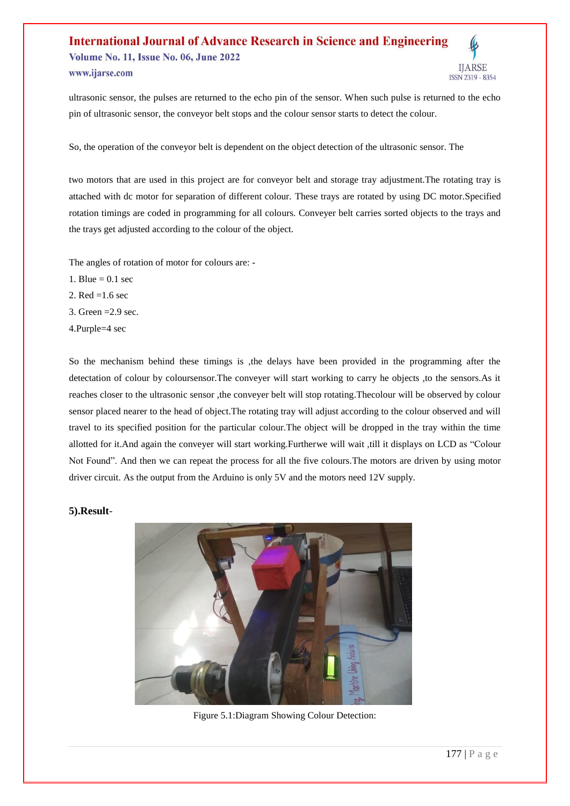#### **International Journal of Advance Research in Science and Engineering Volume No. 11, Issue No. 06, June 2022 IIARSE** www.ijarse.com ISSN 2319 - 8354

ultrasonic sensor, the pulses are returned to the echo pin of the sensor. When such pulse is returned to the echo pin of ultrasonic sensor, the conveyor belt stops and the colour sensor starts to detect the colour.

So, the operation of the conveyor belt is dependent on the object detection of the ultrasonic sensor. The

two motors that are used in this project are for conveyor belt and storage tray adjustment.The rotating tray is attached with dc motor for separation of different colour. These trays are rotated by using DC motor.Specified rotation timings are coded in programming for all colours. Conveyer belt carries sorted objects to the trays and the trays get adjusted according to the colour of the object.

The angles of rotation of motor for colours are: -

- 1. Blue  $= 0.1$  sec
- 2. Red =1.6 sec
- 3. Green  $=2.9$  sec.
- 4.Purple=4 sec

So the mechanism behind these timings is , the delays have been provided in the programming after the detectation of colour by coloursensor.The conveyer will start working to carry he objects ,to the sensors.As it reaches closer to the ultrasonic sensor ,the conveyer belt will stop rotating.Thecolour will be observed by colour sensor placed nearer to the head of object.The rotating tray will adjust according to the colour observed and will travel to its specified position for the particular colour.The object will be dropped in the tray within the time allotted for it.And again the conveyer will start working.Furtherwe will wait ,till it displays on LCD as "Colour Not Found". And then we can repeat the process for all the five colours.The motors are driven by using motor driver circuit. As the output from the Arduino is only 5V and the motors need 12V supply.

### **5).Result**-



Figure 5.1:Diagram Showing Colour Detection: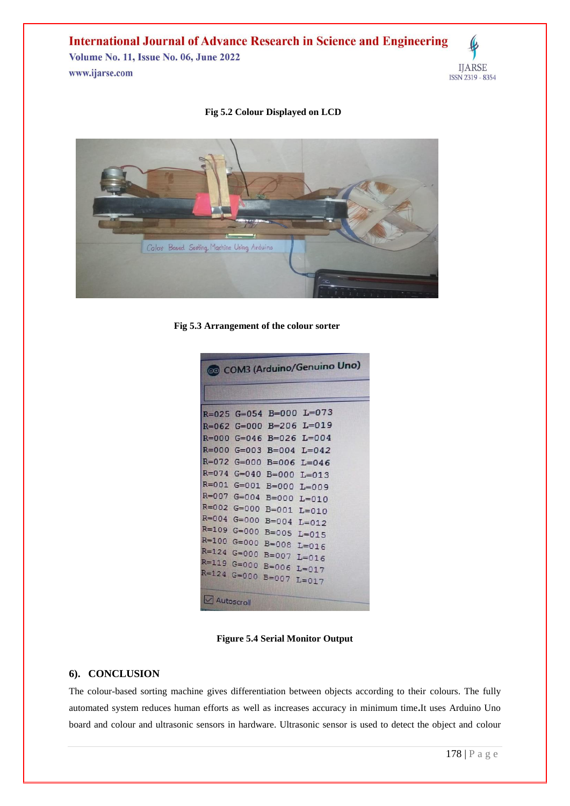**International Journal of Advance Research in Science and Engineering** Volume No. 11, Issue No. 06, June 2022

www.ijarse.com

### **Fig 5.2 Colour Displayed on LCD**



**Fig 5.3 Arrangement of the colour sorter**

| COM3 (Arduino/Genuino Uno) |
|----------------------------|
|                            |
| $R=025$ G=054 B=000 L=073  |
| $R=062$ G=000 B=206 L=019  |
| $R=000$ G=046 B=026 L=004  |
| $R=000$ G=003 B=004 L=042  |
| $R=072$ G=000 B=006 L=046  |
| R=074 G=040 B=000 L=013    |
| R=001 G=001 B=000 L=009    |
| R=007 G=004 B=000 L=010    |
| R=002 G=000 B=001 L=010    |
| R=004 G=000 B=004 L=012    |
| R=109 G=000 B=005 L=015    |
| R=100 G=000 B=008 L=016    |
| R=124 G=000 B=007 L=016    |
| R=119 G=000 B=006 L=017    |
| R=124 G=000 B=007 L=017    |
| Autoscroll                 |

**Figure 5.4 Serial Monitor Output**

#### **6). CONCLUSION**

The colour-based sorting machine gives differentiation between objects according to their colours. The fully automated system reduces human efforts as well as increases accuracy in minimum time**.**It uses Arduino Uno board and colour and ultrasonic sensors in hardware. Ultrasonic sensor is used to detect the object and colour

**IJARSE** 

ISSN 2319 - 8354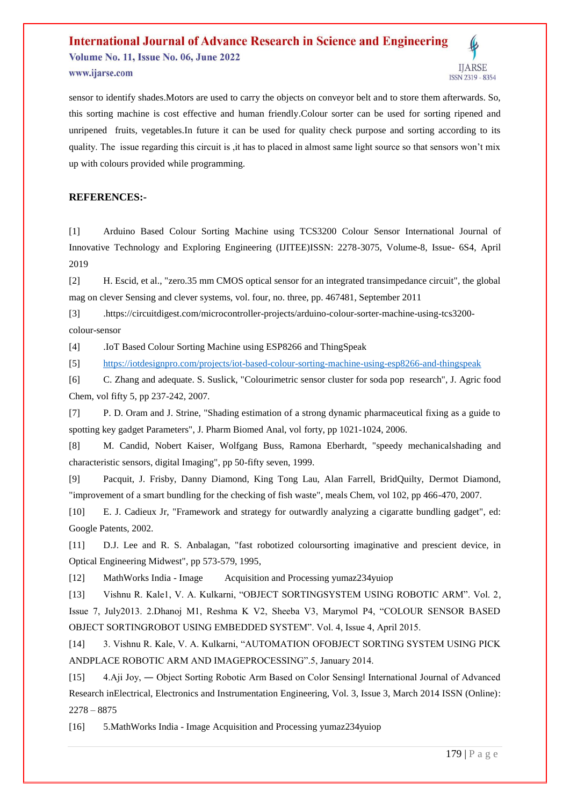## **International Journal of Advance Research in Science and Engineering Volume No. 11, Issue No. 06, June 2022** www.ijarse.com



sensor to identify shades.Motors are used to carry the objects on conveyor belt and to store them afterwards. So, this sorting machine is cost effective and human friendly.Colour sorter can be used for sorting ripened and unripened fruits, vegetables.In future it can be used for quality check purpose and sorting according to its quality. The issue regarding this circuit is ,it has to placed in almost same light source so that sensors won't mix up with colours provided while programming.

## **REFERENCES:-**

[1] Arduino Based Colour Sorting Machine using TCS3200 Colour Sensor International Journal of Innovative Technology and Exploring Engineering (IJITEE)ISSN: 2278-3075, Volume-8, Issue- 6S4, April 2019

[2] H. Escid, et al., "zero.35 mm CMOS optical sensor for an integrated transimpedance circuit", the global mag on clever Sensing and clever systems, vol. four, no. three, pp. 467481, September 2011

[3] .https://circuitdigest.com/microcontroller-projects/arduino-colour-sorter-machine-using-tcs3200 colour-sensor

[4] .IoT Based Colour Sorting Machine using ESP8266 and ThingSpeak

[5] <https://iotdesignpro.com/projects/iot-based-colour-sorting-machine-using-esp8266-and-thingspeak>

[6] C. Zhang and adequate. S. Suslick, "Colourimetric sensor cluster for soda pop research", J. Agric food Chem, vol fifty 5, pp 237-242, 2007.

[7] P. D. Oram and J. Strine, "Shading estimation of a strong dynamic pharmaceutical fixing as a guide to spotting key gadget Parameters", J. Pharm Biomed Anal, vol forty, pp 1021-1024, 2006.

[8] M. Candid, Nobert Kaiser, Wolfgang Buss, Ramona Eberhardt, "speedy mechanicalshading and characteristic sensors, digital Imaging", pp 50-fifty seven, 1999.

[9] Pacquit, J. Frisby, Danny Diamond, King Tong Lau, Alan Farrell, BridQuilty, Dermot Diamond, "improvement of a smart bundling for the checking of fish waste", meals Chem, vol 102, pp 466-470, 2007.

[10] E. J. Cadieux Jr, "Framework and strategy for outwardly analyzing a cigaratte bundling gadget", ed: Google Patents, 2002.

[11] D.J. Lee and R. S. Anbalagan, "fast robotized coloursorting imaginative and prescient device, in Optical Engineering Midwest", pp 573-579, 1995,

[12] MathWorks India - Image Acquisition and Processing yumaz234yuiop

[13] Vishnu R. Kale1, V. A. Kulkarni, "OBJECT SORTINGSYSTEM USING ROBOTIC ARM". Vol. 2, Issue 7, July2013. 2.Dhanoj M1, Reshma K V2, Sheeba V3, Marymol P4, "COLOUR SENSOR BASED OBJECT SORTINGROBOT USING EMBEDDED SYSTEM". Vol. 4, Issue 4, April 2015.

[14] 3. Vishnu R. Kale, V. A. Kulkarni, "AUTOMATION OFOBJECT SORTING SYSTEM USING PICK ANDPLACE ROBOTIC ARM AND IMAGEPROCESSING".5, January 2014.

[15] 4.Aji Joy, ― Object Sorting Robotic Arm Based on Color Sensing‖ International Journal of Advanced Research inElectrical, Electronics and Instrumentation Engineering, Vol. 3, Issue 3, March 2014 ISSN (Online): 2278 – 8875

[16] 5.MathWorks India - Image Acquisition and Processing yumaz234yuiop